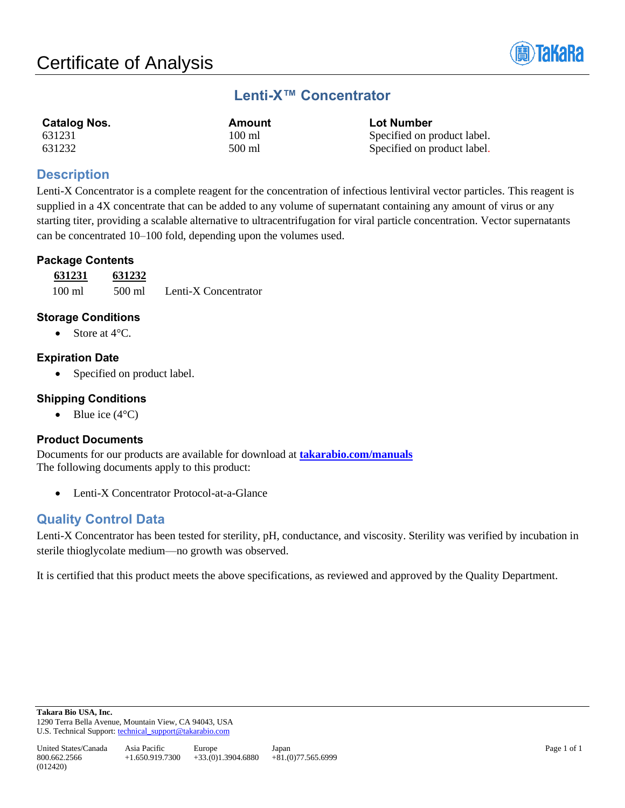

# **Lenti-X™ Concentrator**

| <b>Catalog Nos.</b> | Amount           | <b>Lot Number</b>           |
|---------------------|------------------|-----------------------------|
| 631231              | $100 \text{ ml}$ | Specified on product label. |
| 631232              | 500 ml           | Specified on product label. |

## **Description**

Lenti-X Concentrator is a complete reagent for the concentration of infectious lentiviral vector particles. This reagent is supplied in a 4X concentrate that can be added to any volume of supernatant containing any amount of virus or any starting titer, providing a scalable alternative to ultracentrifugation for viral particle concentration. Vector supernatants can be concentrated 10–100 fold, depending upon the volumes used.

## **Package Contents**

| 631231 | 631232 |                      |
|--------|--------|----------------------|
| 100 ml | 500 ml | Lenti-X Concentrator |

## **Storage Conditions**

• Store at 4°C.

## **Expiration Date**

Specified on product label.

#### **Shipping Conditions**

• Blue ice  $(4^{\circ}C)$ 

#### **Product Documents**

Documents for our products are available for download at **[takarabio.com/manuals](http://www.takarabio.com/manuals)** The following documents apply to this product:

• Lenti-X Concentrator Protocol-at-a-Glance

# **Quality Control Data**

Lenti-X Concentrator has been tested for sterility, pH, conductance, and viscosity. Sterility was verified by incubation in sterile thioglycolate medium—no growth was observed.

It is certified that this product meets the above specifications, as reviewed and approved by the Quality Department.